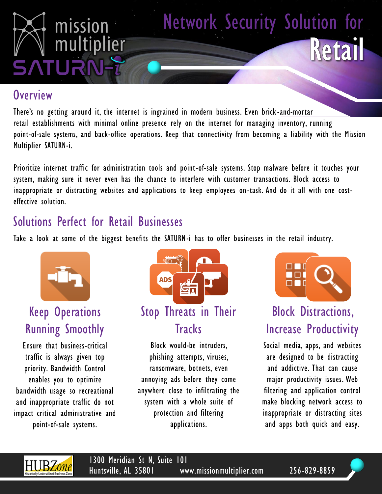

### **Overview**

There's no getting around it, the internet is ingrained in modern business. Even brick-and-mortar retail establishments with minimal online presence rely on the internet for managing inventory, running point-of-sale systems, and back-office operations. Keep that connectivity from becoming a liability with the Mission Multiplier SATURN-i.

Prioritize internet traffic for administration tools and point-of-sale systems. Stop malware before it touches your system, making sure it never even has the chance to interfere with customer transactions. Block access to inappropriate or distracting websites and applications to keep employees on-task. And do it all with one costeffective solution.

### Solutions Perfect for Retail Businesses

Take a look at some of the biggest benefits the SATURN-i has to offer businesses in the retail industry.



# Keep Operations Running Smoothly

Ensure that business-critical traffic is always given top priority. Bandwidth Control enables you to optimize bandwidth usage so recreational and inappropriate traffic do not impact critical administrative and point-of-sale systems.



## Stop Threats in Their **Tracks**

Block would-be intruders, phishing attempts, viruses, ransomware, botnets, even annoying ads before they come anywhere close to infiltrating the system with a whole suite of protection and filtering applications.



Reta

# Block Distractions, Increase Productivity

Social media, apps, and websites are designed to be distracting and addictive. That can cause major productivity issues. Web filtering and application control make blocking network access to inappropriate or distracting sites and apps both quick and easy.



1300 Meridian St N, Suite 101 Huntsville, AL 35801 www.missionmultiplier.com 256-829-8859